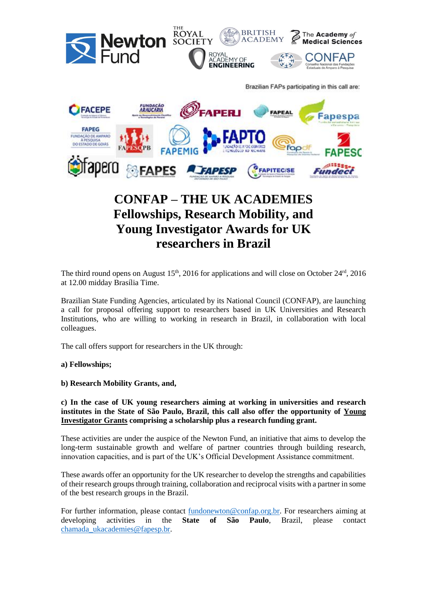

# **Fellowships, Research Mobility, and Young Investigator Awards for UK researchers in Brazil**

The third round opens on August  $15<sup>th</sup>$ , 2016 for applications and will close on October  $24<sup>rd</sup>$ , 2016 at 12.00 midday Brasília Time.

Brazilian State Funding Agencies, articulated by its National Council (CONFAP), are launching a call for proposal offering support to researchers based in UK Universities and Research Institutions, who are willing to working in research in Brazil, in collaboration with local colleagues.

The call offers support for researchers in the UK through:

**a) Fellowships;** 

**b) Research Mobility Grants, and,** 

**c) In the case of UK young researchers aiming at working in universities and research institutes in the State of São Paulo, Brazil, this call also offer the opportunity of Young Investigator Grants comprising a scholarship plus a research funding grant.** 

These activities are under the auspice of the Newton Fund, an initiative that aims to develop the long-term sustainable growth and welfare of partner countries through building research, innovation capacities, and is part of the UK's Official Development Assistance commitment.

These awards offer an opportunity for the UK researcher to develop the strengths and capabilities of their research groups through training, collaboration and reciprocal visits with a partner in some of the best research groups in the Brazil.

For further information, please contact [fundonewton@confap.org.br.](mailto:fundonewton@confap.org.br) For researchers aiming at developing activities in the **State of São Paulo**, Brazil, please contact [chamada\\_ukacademies@fapesp.br.](mailto:chamada_ukacademies@fapesp.br)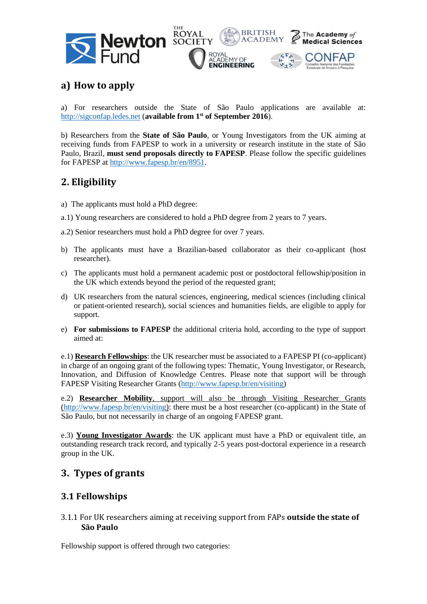



BRITISH

**ACADEMY** 

The Academy of

**Medical Sciences** 

€

## **a) How to apply**

a) For researchers outside the State of São Paulo applications are available at: [http://sigconfap.ledes.net](http://sigconfap.ledes.net/) (**available from 1st of September 2016**).

b) Researchers from the **State of São Paulo**, or Young Investigators from the UK aiming at receiving funds from FAPESP to work in a university or research institute in the state of São Paulo, Brazil, **must send proposals directly to FAPESP**. Please follow the specific guidelines for FAPESP at [http://www.fapesp.br/en/8951.](http://www.fapesp.br/en/8951)

## **2. Eligibility**

- a) The applicants must hold a PhD degree:
- a.1) Young researchers are considered to hold a PhD degree from 2 years to 7 years.

a.2) Senior researchers must hold a PhD degree for over 7 years.

- b) The applicants must have a Brazilian-based collaborator as their co-applicant (host researcher).
- c) The applicants must hold a permanent academic post or postdoctoral fellowship/position in the UK which extends beyond the period of the requested grant;
- d) UK researchers from the natural sciences, engineering, medical sciences (including clinical or patient-oriented research), social sciences and humanities fields, are eligible to apply for support.
- e) **For submissions to FAPESP** the additional criteria hold, according to the type of support aimed at:

e.1) **Research Fellowships**: the UK researcher must be associated to a FAPESP PI (co-applicant) in charge of an ongoing grant of the following types: Thematic, Young Investigator, or Research, Innovation, and Diffusion of Knowledge Centres. Please note that support will be through FAPESP Visiting Researcher Grants [\(http://www.fapesp.br/en/visiting\)](http://www.fapesp.br/en/visiting)

e.2) **Researcher Mobility**, support will also be through Visiting Researcher Grants [\(http://www.fapesp.br/en/visiting\)](http://www.fapesp.br/en/visiting): there must be a host researcher (co-applicant) in the State of São Paulo, but not necessarily in charge of an ongoing FAPESP grant.

e.3) **Young Investigator Awards**: the UK applicant must have a PhD or equivalent title, an outstanding research track record, and typically 2-5 years post-doctoral experience in a research group in the UK.

## **3. Types of grants**

#### **3.1 Fellowships**

3.1.1 For UK researchers aiming at receiving support from FAPs **outside the state of São Paulo** 

Fellowship support is offered through two categories: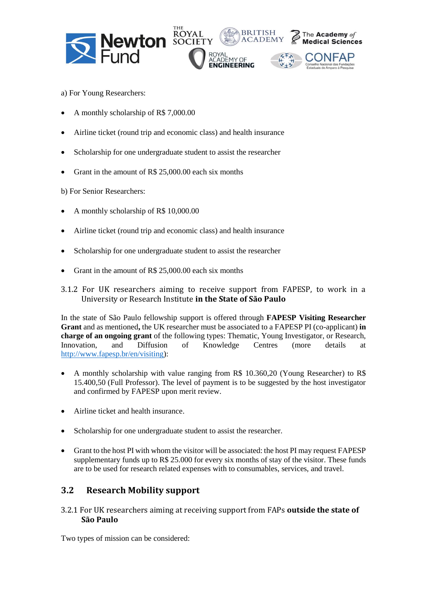





- a) For Young Researchers:
- A monthly scholarship of R\$ 7,000.00
- Airline ticket (round trip and economic class) and health insurance

THI

- Scholarship for one undergraduate student to assist the researcher
- Grant in the amount of R\$ 25,000.00 each six months
- b) For Senior Researchers:
- A monthly scholarship of R\$ 10,000.00
- Airline ticket (round trip and economic class) and health insurance
- Scholarship for one undergraduate student to assist the researcher
- Grant in the amount of R\$ 25,000.00 each six months
- 3.1.2 For UK researchers aiming to receive support from FAPESP, to work in a University or Research Institute **in the State of São Paulo**

In the state of São Paulo fellowship support is offered through **FAPESP Visiting Researcher Grant** and as mentioned**,** the UK researcher must be associated to a FAPESP PI (co-applicant) **in charge of an ongoing grant** of the following types: Thematic, Young Investigator, or Research, Innovation, and Diffusion of Knowledge Centres (more details at [http://www.fapesp.br/en/visiting\)](http://www.fapesp.br/en/visiting):

- A monthly scholarship with value ranging from R\$ 10.360,20 (Young Researcher) to R\$ 15.400,50 (Full Professor). The level of payment is to be suggested by the host investigator and confirmed by FAPESP upon merit review.
- Airline ticket and health insurance.
- Scholarship for one undergraduate student to assist the researcher.
- Grant to the host PI with whom the visitor will be associated: the host PI may request FAPESP supplementary funds up to R\$ 25.000 for every six months of stay of the visitor. These funds are to be used for research related expenses with to consumables, services, and travel.

#### **3.2 Research Mobility support**

3.2.1 For UK researchers aiming at receiving support from FAPs **outside the state of São Paulo** 

Two types of mission can be considered: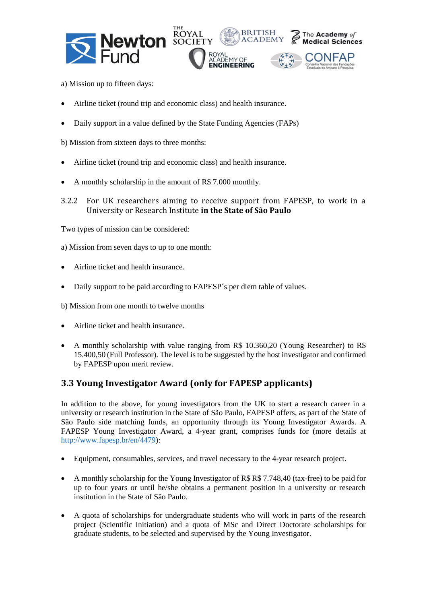





- a) Mission up to fifteen days:
- Airline ticket (round trip and economic class) and health insurance.
- Daily support in a value defined by the State Funding Agencies (FAPs)

b) Mission from sixteen days to three months:

- Airline ticket (round trip and economic class) and health insurance.
- A monthly scholarship in the amount of R\$ 7.000 monthly.
- 3.2.2 For UK researchers aiming to receive support from FAPESP, to work in a University or Research Institute **in the State of São Paulo**

Two types of mission can be considered:

a) Mission from seven days to up to one month:

- Airline ticket and health insurance.
- Daily support to be paid according to FAPESP´s per diem table of values.

b) Mission from one month to twelve months

- Airline ticket and health insurance.
- A monthly scholarship with value ranging from R\$ 10.360,20 (Young Researcher) to R\$ 15.400,50 (Full Professor). The level is to be suggested by the host investigator and confirmed by FAPESP upon merit review.

#### **3.3 Young Investigator Award (only for FAPESP applicants)**

In addition to the above, for young investigators from the UK to start a research career in a university or research institution in the State of São Paulo, FAPESP offers, as part of the State of São Paulo side matching funds, an opportunity through its Young Investigator Awards. A FAPESP Young Investigator Award, a 4-year grant, comprises funds for (more details at [http://www.fapesp.br/en/4479\)](http://www.fapesp.br/en/4479):

- Equipment, consumables, services, and travel necessary to the 4-year research project.
- A monthly scholarship for the Young Investigator of R\$ R\$ 7.748,40 (tax-free) to be paid for up to four years or until he/she obtains a permanent position in a university or research institution in the State of São Paulo.
- A quota of scholarships for undergraduate students who will work in parts of the research project (Scientific Initiation) and a quota of MSc and Direct Doctorate scholarships for graduate students, to be selected and supervised by the Young Investigator.